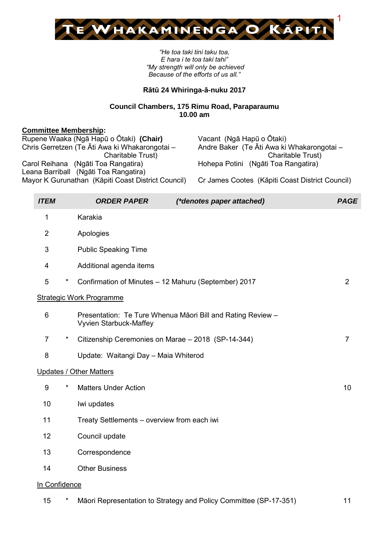

*"He toa taki tini taku toa, E hara i te toa taki tahi" "My strength will only be achieved Because of the efforts of us all."*

### **Rātū 24 Whiringa-ā-nuku 2017**

### **Council Chambers, 175 Rimu Road, Paraparaumu 10.00 am**

### **Committee Membership:**

| Rupene Waaka (Ngā Hapū o Ōtaki) (Chair)            | Vacant (Ngā Hapū o Ōtaki)                       |
|----------------------------------------------------|-------------------------------------------------|
| Chris Gerretzen (Te Āti Awa ki Whakarongotai -     | Andre Baker (Te Āti Awa ki Whakarongotai -      |
| Charitable Trust)                                  | Charitable Trust)                               |
| Carol Reihana (Ngāti Toa Rangatira)                | Hohepa Potini (Ngāti Toa Rangatira)             |
| Leana Barriball (Ngāti Toa Rangatira)              |                                                 |
| Mayor K Gurunathan (Kāpiti Coast District Council) | Cr James Cootes (Kāpiti Coast District Council) |
|                                                    |                                                 |

| <b>ITEM</b>    |         | <b>ORDER PAPER</b><br>(*denotes paper attached)                                       | <b>PAGE</b>    |
|----------------|---------|---------------------------------------------------------------------------------------|----------------|
| 1              |         | Karakia                                                                               |                |
| $\overline{2}$ |         | Apologies                                                                             |                |
| 3              |         | <b>Public Speaking Time</b>                                                           |                |
| 4              |         | Additional agenda items                                                               |                |
| 5              | $\star$ | Confirmation of Minutes - 12 Mahuru (September) 2017                                  | $\overline{2}$ |
|                |         | <b>Strategic Work Programme</b>                                                       |                |
| 6              |         | Presentation: Te Ture Whenua Māori Bill and Rating Review -<br>Vyvien Starbuck-Maffey |                |
| $\overline{7}$ | *       | Citizenship Ceremonies on Marae - 2018 (SP-14-344)                                    | $\overline{7}$ |
| 8              |         | Update: Waitangi Day - Maia Whiterod                                                  |                |
|                |         | <b>Updates / Other Matters</b>                                                        |                |
| 9              | *       | <b>Matters Under Action</b>                                                           | 10             |
| 10             |         | Iwi updates                                                                           |                |
| 11             |         | Treaty Settlements - overview from each iwi                                           |                |
| 12             |         | Council update                                                                        |                |
| 13             |         | Correspondence                                                                        |                |
| 14             |         | <b>Other Business</b>                                                                 |                |
| In Confidence  |         |                                                                                       |                |
| 15             | *       | Māori Representation to Strategy and Policy Committee (SP-17-351)                     | 11             |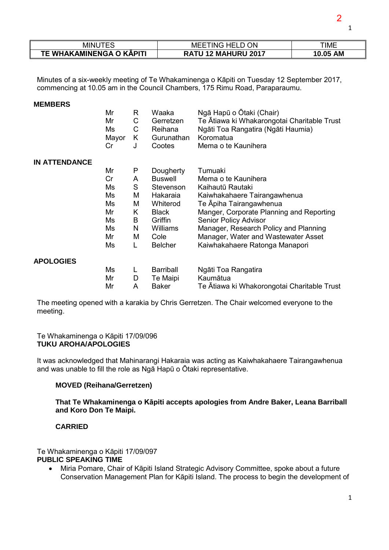| MINU                     | TING HELD ON<br>MEE | TIME               |
|--------------------------|---------------------|--------------------|
| TE WHAKAMINENGA O KĀPITI | RATU 12 MAHURU 2017 | <b>AM</b><br>10.05 |

Minutes of a six-weekly meeting of Te Whakaminenga o Kāpiti on Tuesday 12 September 2017, commencing at 10.05 am in the Council Chambers, 175 Rimu Road, Paraparaumu.

#### **MEMBERS**

|                      | Mr<br>Mr<br>Ms<br>Mayor<br>Cr | R<br>C<br>C<br>K<br>J | Waaka<br>Gerretzen<br>Reihana<br>Gurunathan<br>Cootes | Ngā Hapū o Ōtaki (Chair)<br>Te Ātiawa ki Whakarongotai Charitable Trust<br>Ngāti Toa Rangatira (Ngāti Haumia)<br>Koromatua<br>Mema o te Kaunihera |
|----------------------|-------------------------------|-----------------------|-------------------------------------------------------|---------------------------------------------------------------------------------------------------------------------------------------------------|
| <b>IN ATTENDANCE</b> |                               |                       |                                                       |                                                                                                                                                   |
|                      | Mr                            | P                     | Dougherty                                             | Tumuaki                                                                                                                                           |
|                      | Cr                            | A                     | <b>Buswell</b>                                        | Mema o te Kaunihera                                                                                                                               |
|                      | Ms                            | S                     | Stevenson                                             | Kaihautū Rautaki                                                                                                                                  |
|                      | Ms                            | M                     | Hakaraia                                              | Kaiwhakahaere Tairangawhenua                                                                                                                      |
|                      | Ms                            | M                     | Whiterod                                              | Te Apiha Tairangawhenua                                                                                                                           |
|                      | Mr                            | K                     | <b>Black</b>                                          | Manger, Corporate Planning and Reporting                                                                                                          |
|                      | Ms                            | B                     | Griffin                                               | Senior Policy Advisor                                                                                                                             |
|                      | Ms                            | N                     | <b>Williams</b>                                       | Manager, Research Policy and Planning                                                                                                             |
|                      | Mr                            | Μ                     | Cole                                                  | Manager, Water and Wastewater Asset                                                                                                               |
|                      | Ms                            | L                     | <b>Belcher</b>                                        | Kaiwhakahaere Ratonga Manapori                                                                                                                    |
| <b>APOLOGIES</b>     |                               |                       |                                                       |                                                                                                                                                   |
|                      | Ms                            | L                     | <b>Barriball</b>                                      | Ngāti Toa Rangatira                                                                                                                               |
|                      | Mr                            | D                     | Te Maipi                                              | Kaumātua                                                                                                                                          |
|                      | Mr                            | A                     | <b>Baker</b>                                          | Te Ātiawa ki Whakorongotai Charitable Trust                                                                                                       |

The meeting opened with a karakia by Chris Gerretzen. The Chair welcomed everyone to the meeting.

#### Te Whakaminenga o Kāpiti 17/09/096 **TUKU AROHA/APOLOGIES**

It was acknowledged that Mahinarangi Hakaraia was acting as Kaiwhakahaere Tairangawhenua and was unable to fill the role as Ngā Hapū o Ōtaki representative.

#### **MOVED (Reihana/Gerretzen)**

**That Te Whakaminenga o Kāpiti accepts apologies from Andre Baker, Leana Barriball and Koro Don Te Maipi.**

### **CARRIED**

Te Whakaminenga o Kāpiti 17/09/097 **PUBLIC SPEAKING TIME** 

• Miria Pomare, Chair of Kāpiti Island Strategic Advisory Committee, spoke about a future Conservation Management Plan for Kāpiti Island. The process to begin the development of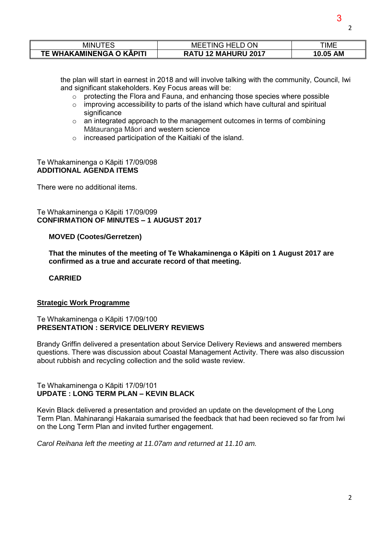| MINU                     | <b>ON</b><br>TING HEL<br><b>MEE</b>   | ΓΙΜΕ               |
|--------------------------|---------------------------------------|--------------------|
| TE WHAKAMINENGA O KAPITI | <b>MAHURU 2017</b><br>$12 \,$<br>RATU | <b>AM</b><br>10.05 |

the plan will start in earnest in 2018 and will involve talking with the community, Council, Iwi and significant stakeholders. Key Focus areas will be:

- $\circ$  protecting the Flora and Fauna, and enhancing those species where possible
- o improving accessibility to parts of the island which have cultural and spiritual significance
- $\circ$  an integrated approach to the management outcomes in terms of combining Mātauranga Māori and western science
- o increased participation of the Kaitiaki of the island.

#### Te Whakaminenga o Kāpiti 17/09/098 **ADDITIONAL AGENDA ITEMS**

There were no additional items.

Te Whakaminenga o Kāpiti 17/09/099 **CONFIRMATION OF MINUTES – 1 AUGUST 2017** 

#### **MOVED (Cootes/Gerretzen)**

**That the minutes of the meeting of Te Whakaminenga o Kāpiti on 1 August 2017 are confirmed as a true and accurate record of that meeting.**

#### **CARRIED**

#### **Strategic Work Programme**

#### Te Whakaminenga o Kāpiti 17/09/100 **PRESENTATION : SERVICE DELIVERY REVIEWS**

Brandy Griffin delivered a presentation about Service Delivery Reviews and answered members questions. There was discussion about Coastal Management Activity. There was also discussion about rubbish and recycling collection and the solid waste review.

#### Te Whakaminenga o Kāpiti 17/09/101 **UPDATE : LONG TERM PLAN – KEVIN BLACK**

Kevin Black delivered a presentation and provided an update on the development of the Long Term Plan. Mahinarangi Hakaraia sumarised the feedback that had been recieved so far from Iwi on the Long Term Plan and invited further engagement.

*Carol Reihana left the meeting at 11.07am and returned at 11.10 am.* 

3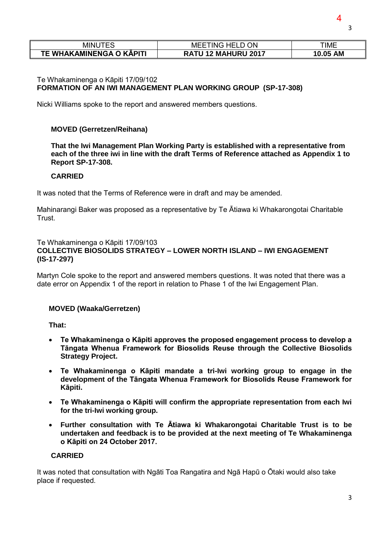| <b>MINUTES</b>           | ΟN<br>TING HELL<br>MEE               | ГІМЕ     |  |
|--------------------------|--------------------------------------|----------|--|
| TE WHAKAMINENGA O KĀPITI | <b>MAHURU 2017</b><br><b>RATU 12</b> | 10.05 AM |  |

### Te Whakaminenga o Kāpiti 17/09/102 **FORMATION OF AN IWI MANAGEMENT PLAN WORKING GROUP (SP-17-308)**

Nicki Williams spoke to the report and answered members questions.

### **MOVED (Gerretzen/Reihana)**

**That the Iwi Management Plan Working Party is established with a representative from each of the three iwi in line with the draft Terms of Reference attached as Appendix 1 to Report SP-17-308.** 

#### **CARRIED**

It was noted that the Terms of Reference were in draft and may be amended.

Mahinarangi Baker was proposed as a representative by Te Ātiawa ki Whakarongotai Charitable Trust.

#### Te Whakaminenga o Kāpiti 17/09/103 **COLLECTIVE BIOSOLIDS STRATEGY – LOWER NORTH ISLAND – IWI ENGAGEMENT (IS-17-297)**

Martyn Cole spoke to the report and answered members questions. It was noted that there was a date error on Appendix 1 of the report in relation to Phase 1 of the Iwi Engagement Plan.

### **MOVED (Waaka/Gerretzen)**

**That:** 

- **Te Whakaminenga o Kāpiti approves the proposed engagement process to develop a Tāngata Whenua Framework for Biosolids Reuse through the Collective Biosolids Strategy Project.**
- **Te Whakaminenga o Kāpiti mandate a tri-Iwi working group to engage in the development of the Tāngata Whenua Framework for Biosolids Reuse Framework for Kāpiti.**
- **Te Whakaminenga o Kāpiti will confirm the appropriate representation from each Iwi for the tri-Iwi working group.**
- **Further consultation with Te Ātiawa ki Whakarongotai Charitable Trust is to be undertaken and feedback is to be provided at the next meeting of Te Whakaminenga o Kāpiti on 24 October 2017.**

#### **CARRIED**

It was noted that consultation with Ngāti Toa Rangatira and Ngā Hapū o Ōtaki would also take place if requested.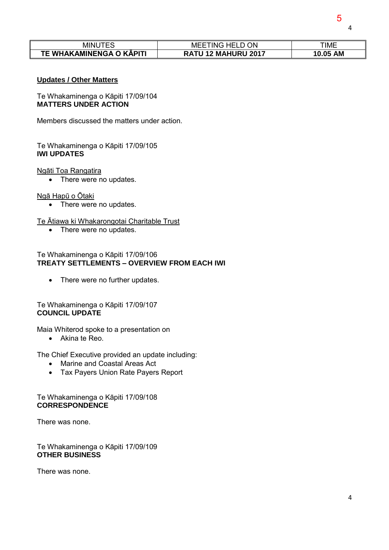| <b>MINUTES</b><br>. ING HELD C<br>O ON<br>MEE |                     | TIME     |  |
|-----------------------------------------------|---------------------|----------|--|
| TE WHAKAMINENGA O KĀPITI                      | RATU 12 MAHURU 2017 | 10.05 AM |  |

#### **Updates / Other Matters**

Te Whakaminenga o Kāpiti 17/09/104 **MATTERS UNDER ACTION** 

Members discussed the matters under action.

### Te Whakaminenga o Kāpiti 17/09/105 **IWI UPDATES**

#### Ngāti Toa Rangatira

• There were no updates.

#### Ngā Hapū o Ōtaki

• There were no updates.

### Te Ātiawa ki Whakarongotai Charitable Trust

• There were no updates.

#### Te Whakaminenga o Kāpiti 17/09/106 **TREATY SETTLEMENTS – OVERVIEW FROM EACH IWI**

• There were no further updates.

### Te Whakaminenga o Kāpiti 17/09/107 **COUNCIL UPDATE**

Maia Whiterod spoke to a presentation on

Akina te Reo.

The Chief Executive provided an update including:

- Marine and Coastal Areas Act
- Tax Payers Union Rate Payers Report

### Te Whakaminenga o Kāpiti 17/09/108 **CORRESPONDENCE**

There was none.

Te Whakaminenga o Kāpiti 17/09/109 **OTHER BUSINESS** 

There was none.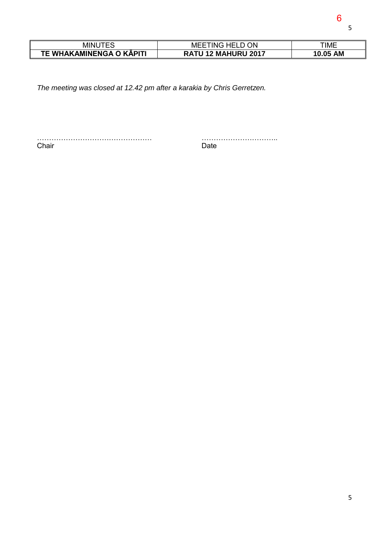| MINL                     | ΟN<br>M<br>INK<br>.        | TIME               |
|--------------------------|----------------------------|--------------------|
| TE WHAKAMINENGA O KAPITI | <b>MAHURU 2017</b><br>RAT. | <b>AM</b><br>10.05 |

*The meeting was closed at 12.42 pm after a karakia by Chris Gerretzen.* 

………………………………………… ………………………….. Chair **Date**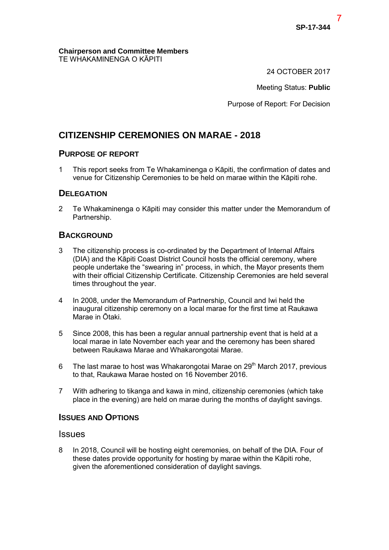#### **Chairperson and Committee Members**  TE WHAKAMINENGA O KĀPITI

24 OCTOBER 2017

Meeting Status: **Public**

Purpose of Report: For Decision

# **CITIZENSHIP CEREMONIES ON MARAE - 2018**

# **PURPOSE OF REPORT**

1 This report seeks from Te Whakaminenga o Kāpiti, the confirmation of dates and venue for Citizenship Ceremonies to be held on marae within the Kāpiti rohe.

# **DELEGATION**

2 Te Whakaminenga o Kāpiti may consider this matter under the Memorandum of Partnership.

# **BACKGROUND**

- 3 The citizenship process is co-ordinated by the Department of Internal Affairs (DIA) and the Kāpiti Coast District Council hosts the official ceremony, where people undertake the "swearing in" process, in which, the Mayor presents them with their official Citizenship Certificate. Citizenship Ceremonies are held several times throughout the year.
- 4 In 2008, under the Memorandum of Partnership, Council and Iwi held the inaugural citizenship ceremony on a local marae for the first time at Raukawa Marae in Ōtaki.
- 5 Since 2008, this has been a regular annual partnership event that is held at a local marae in late November each year and the ceremony has been shared between Raukawa Marae and Whakarongotai Marae.
- 6 The last marae to host was Whakarongotai Marae on  $29<sup>th</sup>$  March 2017, previous to that, Raukawa Marae hosted on 16 November 2016.
- 7 With adhering to tikanga and kawa in mind, citizenship ceremonies (which take place in the evening) are held on marae during the months of daylight savings.

# **ISSUES AND OPTIONS**

# **Issues**

8 In 2018, Council will be hosting eight ceremonies, on behalf of the DIA. Four of these dates provide opportunity for hosting by marae within the Kāpiti rohe, given the aforementioned consideration of daylight savings.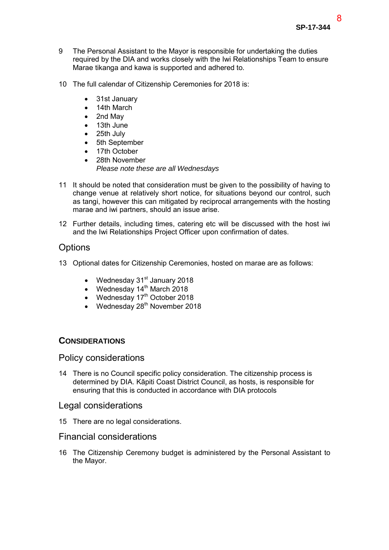- 9 The Personal Assistant to the Mayor is responsible for undertaking the duties required by the DIA and works closely with the Iwi Relationships Team to ensure Marae tikanga and kawa is supported and adhered to.
- 10 The full calendar of Citizenship Ceremonies for 2018 is:
	- 31st January
	- 14th March
	- 2nd May
	- 13th June
	- 25th July
	- 5th September
	- 17th October
	- 28th November *Please note these are all Wednesdays*
- 11 It should be noted that consideration must be given to the possibility of having to change venue at relatively short notice, for situations beyond our control, such as tangi, however this can mitigated by reciprocal arrangements with the hosting marae and iwi partners, should an issue arise.
- 12 Further details, including times, catering etc will be discussed with the host iwi and the Iwi Relationships Project Officer upon confirmation of dates.

# **Options**

- 13 Optional dates for Citizenship Ceremonies, hosted on marae are as follows:
	- Wednesday  $31<sup>st</sup>$  January 2018
	- Wednesday  $14<sup>th</sup>$  March 2018
	- $\bullet$  Wednesday 17<sup>th</sup> October 2018
	- Wednesday  $28<sup>th</sup>$  November 2018

# **CONSIDERATIONS**

# Policy considerations

14 There is no Council specific policy consideration. The citizenship process is determined by DIA. Kāpiti Coast District Council, as hosts, is responsible for ensuring that this is conducted in accordance with DIA protocols

# Legal considerations

15 There are no legal considerations.

### Financial considerations

16 The Citizenship Ceremony budget is administered by the Personal Assistant to the Mayor.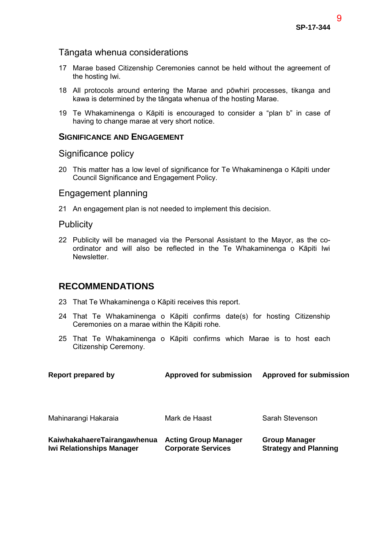# Tāngata whenua considerations

- 17 Marae based Citizenship Ceremonies cannot be held without the agreement of the hosting Iwi.
- 18 All protocols around entering the Marae and pōwhiri processes, tikanga and kawa is determined by the tāngata whenua of the hosting Marae.
- 19 Te Whakaminenga o Kāpiti is encouraged to consider a "plan b" in case of having to change marae at very short notice.

### **SIGNIFICANCE AND ENGAGEMENT**

### Significance policy

20 This matter has a low level of significance for Te Whakaminenga o Kāpiti under Council Significance and Engagement Policy.

# Engagement planning

21 An engagement plan is not needed to implement this decision.

### Publicity

22 Publicity will be managed via the Personal Assistant to the Mayor, as the coordinator and will also be reflected in the Te Whakaminenga o Kāpiti Iwi **Newsletter** 

# **RECOMMENDATIONS**

- 23 That Te Whakaminenga o Kāpiti receives this report.
- 24 That Te Whakaminenga o Kāpiti confirms date(s) for hosting Citizenship Ceremonies on a marae within the Kāpiti rohe.
- 25 That Te Whakaminenga o Kāpiti confirms which Marae is to host each Citizenship Ceremony.

| <b>Report prepared by</b>                                       | <b>Approved for submission</b>                           | <b>Approved for submission</b>                       |
|-----------------------------------------------------------------|----------------------------------------------------------|------------------------------------------------------|
| Mahinarangi Hakaraia                                            | Mark de Haast                                            | Sarah Stevenson                                      |
| KaiwhakahaereTairangawhenua<br><b>Iwi Relationships Manager</b> | <b>Acting Group Manager</b><br><b>Corporate Services</b> | <b>Group Manager</b><br><b>Strategy and Planning</b> |